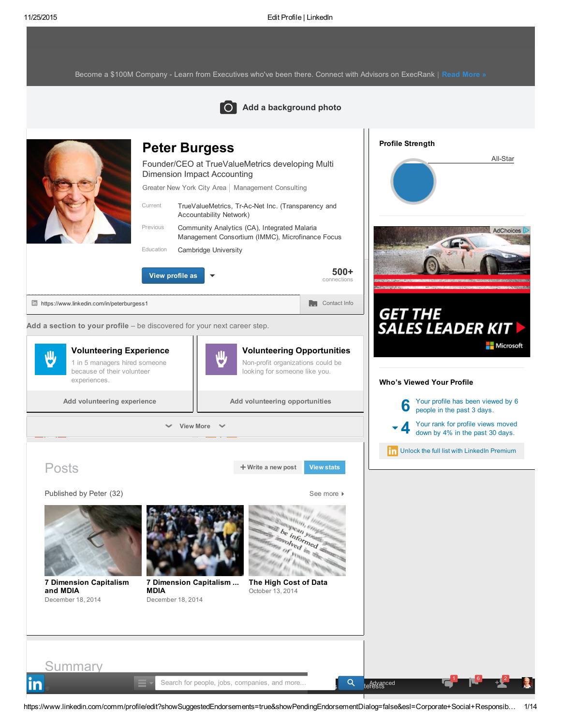Become a \$100M Company - Learn from [Executives](https://www.linkedin.com/csp/crd?v=1&cs=0_01LRPY1xNvGdt_IWKTc8FZbjNcM7nNsm9wbziFOHTjrsjyRhL6CUvDzhOb4mGpH2cRkH34FZMsTniHDQT2QlEVTpw_Y8ONeHnT3lmFX8OiRYMQBOuQvN4cZjoXOz8Ht3_fOKnrJjN-muEiBL_0xnM6Q1QgH0jjhQeMeEEG1Hk4wvCrFtkXEbf8jl10Ddd41gOk1R-Jdxz4Jny7SH2oKerWCJcLKCHWO-KW21i3DPwI69VR82-7P9fkTELum6bll_ISYb8RyxPTNLQD7-LcpPRCCp5PnYGI0cbrJvaVQ2dIyHLKHdrGFONqqMKjQM9ASWGTedT4wslSztagglpMCy-6kqnDOWXk8GSlLt6vCDSm_A2usigJw1Fe1nNnUVHU17Yx53KR6oXpav7SF8g3hBpzF6bVRaTU6nLuLZ7OSydiOcPK_JHITcNrBN_EIjI8zCfpS1Y4CJFqQqrTcAwwbuysYUK2DVqbAsPeyYrjQ46nUz4IQdf_kzKeRjgHIc-6uqt43befltTrFZR5wYuTZp9ZJDPajjpwMfop2WpuUFTOLZJ5y-G2OY_JA7ac0c4bR31pqTEohfBIdCZ7CWnEcUl110iPq8vnG2LgMal9l7PMpkARs8Rug3Pl7o1AxdY7_mnjirF-Fcl3uw9F0GMNkUTRZIU3wdtHCz250dUJzTaaqio92zj8I5inQAoWc5R7mPHQ6Hs7HY8kS70B-WIzd9sUaY9tEN5S5srGicdmz-inp-sLY1ru3qr02SMQ8RXJf1IMhUQs_m8C0A90_7riMf6-) who've been there. Connect with Advisors on ExecRank | Read [More](https://www.linkedin.com/csp/crd?v=1&cs=0_01LRPY1xNvGdt_IWKTc8FZbjNcM7nNsm9wbziFOHTjrsjyRhL6CUvDzhOb4mGpH2cRkH34FZMsTniHDQT2QlEVTpw_Y8ONeHnT3lmFX8OiRYMQBOuQvN4cZjoXOz8Ht3_fOKnrJjN-muEiBL_0xnM6Q1QgH0jjhQeMeEEG1Hk4wvCrFtkXEbf8jl10Ddd41gOk1R-Jdxz4Jny7SH2oKerWCJcLKCHWO-KW21i3DPwI69VR82-7P9fkTELum6bll_ISYb8RyxPTNLQD7-LcpPRCCp5PnYGI0cbrJvaVQ2dIyHLKHdrGFONqqMKjQM9ASWGTedT4wslSztagglpMCy-6kqnDOWXk8GSlLt6vCDSm_A2usigJw1Fe1nNnUVHU17Yx53KR6oXpav7SF8g3hBpzF6bVRaTU6nLuLZ7OSydiOcPK_JHITcNrBN_EIjI8zCfpS1Y4CJFqQqrTcAwwbuysYUK2DVqbAsPeyYrjQ46nUz4IQdf_kzKeRjgHIc-6uqt43befltTrFZR5wYuTZp9ZJDPajjpwMfop2WpuUFTOLZJ5y-G2OY_JA7ac0c4bR31pqTEohfBIdCZ7CWnEcUl110iPq8vnG2LgMal9l7PMpkARs8Rug3Pl7o1AxdY7_mnjirF-Fcl3uw9F0GMNkUTRZIU3wdtHCz250dUJzTaaqio92zj8I5inQAoWc5R7mPHQ6Hs7HY8kS70B-WIzd9sUaY9tEN5S5srGicdmz-inp-sLY1ru3qr02SMQ8RXJf1IMhUQs_m8C0A90_7riMf6-) »

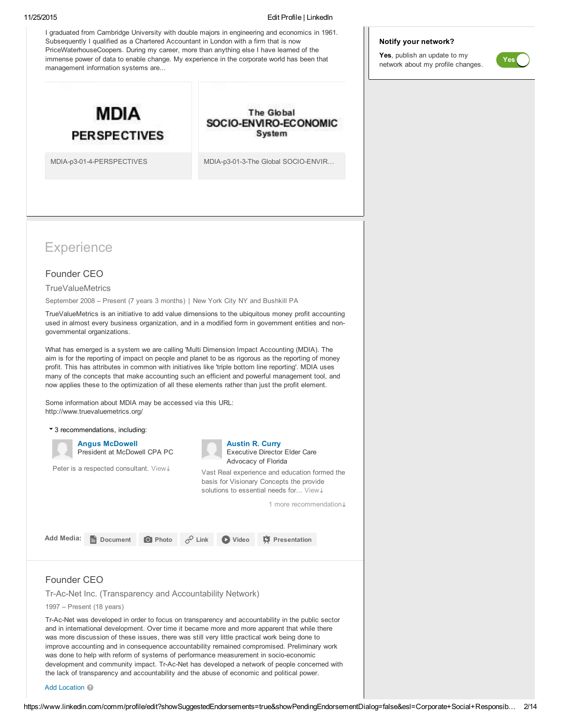I graduated from Cambridge University with double majors in engineering and economics in 1961. Subsequently I qualified as a Chartered Accountant in London with a firm that is now PriceWaterhouseCoopers. During my career, more than anything else I have learned of the immense power of data to enable change. My experience in the corporate world has been that management information systems are...



**The Global** SOCIO-ENVIRO-ECONOMIC System

MDIA-p3-01-4-PERSPECTIVES MDIA-p3-01-3-The Global SOCIO-ENVIR...

# **Experience**

### Founder CEO

**TrueValueMetrics** 

September 2008 – Present (7 years 3 months) | New York City NY and Bushkill PA

TrueValueMetrics is an initiative to add value dimensions to the ubiquitous money profit accounting used in almost every business organization, and in a modified form in government entities and nongovernmental organizations.

What has emerged is a system we are calling 'Multi Dimension Impact Accounting (MDIA). The aim is for the reporting of impact on people and planet to be as rigorous as the reporting of money profit. This has attributes in common with initiatives like 'triple bottom line reporting'. MDIA uses many of the concepts that make accounting such an efficient and powerful management tool, and now applies these to the optimization of all these elements rather than just the profit element.

Some information about MDIA may be accessed via this URL: http://www.truevaluemetrics.org/

|            | ▼ 3 recommendations, including:                       |                |                                                                                                                                                                                                                                   |       |                        |  |  |
|------------|-------------------------------------------------------|----------------|-----------------------------------------------------------------------------------------------------------------------------------------------------------------------------------------------------------------------------------|-------|------------------------|--|--|
|            | <b>Angus McDowell</b><br>President at McDowell CPA PC |                | <b>Austin R. Curry</b><br>Executive Director Elder Care<br>Advocacy of Florida<br>Vast Real experience and education formed the<br>basis for Visionary Concepts the provide<br>solutions to essential needs for View $\downarrow$ |       |                        |  |  |
|            | Peter is a respected consultant. View+                |                |                                                                                                                                                                                                                                   |       |                        |  |  |
|            |                                                       |                |                                                                                                                                                                                                                                   |       | 1 more recommendation. |  |  |
| Add Media: | Document                                              | <b>O</b> Photo | $\sim$ Link                                                                                                                                                                                                                       | Video | <b>C</b> Presentation  |  |  |
|            |                                                       |                |                                                                                                                                                                                                                                   |       |                        |  |  |

### Founder CEO

Tr-Ac-Net Inc. (Transparency and Accountability Network)

1997 – Present (18 years)

Tr-Ac-Net was developed in order to focus on transparency and accountability in the public sector and in international development. Over time it became more and more apparent that while there was more discussion of these issues, there was still very little practical work being done to improve accounting and in consequence accountability remained compromised. Preliminary work was done to help with reform of systems of performance measurement in socio-economic development and community impact. Tr-Ac-Net has developed a network of people concerned with the lack of transparency and accountability and the abuse of economic and political power.

Add Location <sup>2</sup>

### Notify your network?

Yes, publish an update to my network about my profile changes.

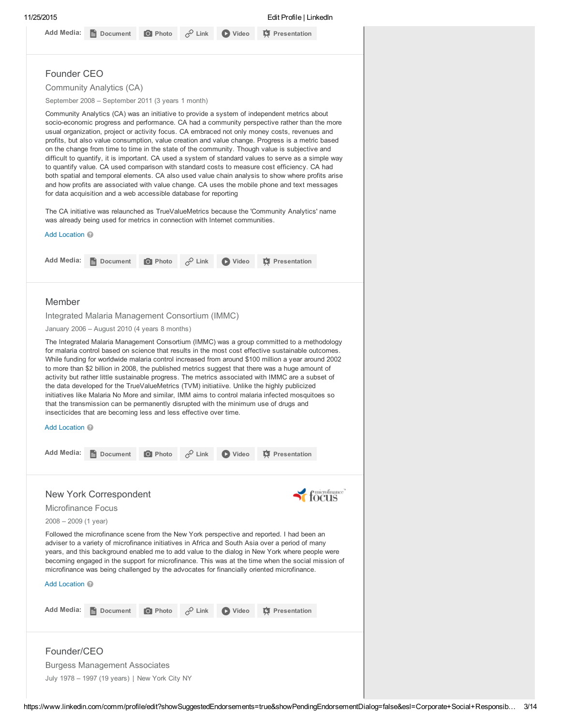### Add Media: **B** Document **O** Photo  $\phi^0$  Link **O** Video  $\phi$  Presentation

### Founder CEO

Community Analytics (CA)

September 2008 – September 2011 (3 years 1 month)

Community Analytics (CA) was an initiative to provide a system of independent metrics about socio-economic progress and performance. CA had a community perspective rather than the more usual organization, project or activity focus. CA embraced not only money costs, revenues and profits, but also value consumption, value creation and value change. Progress is a metric based on the change from time to time in the state of the community. Though value is subjective and difficult to quantify, it is important. CA used a system of standard values to serve as a simple way to quantify value. CA used comparison with standard costs to measure cost efficiency. CA had both spatial and temporal elements. CA also used value chain analysis to show where profits arise and how profits are associated with value change. CA uses the mobile phone and text messages for data acquisition and a web accessible database for reporting

The CA initiative was relaunched as TrueValueMetrics because the 'Community Analytics' name was already being used for metrics in connection with Internet communities.

| Add Location @                                                                                                                                                                                                                                                                                                                                                                                                                                                                                                                                                                                                                                                                                                                                                                                                                                                                 |                                   |                    |                |                       |                                                      |  |  |
|--------------------------------------------------------------------------------------------------------------------------------------------------------------------------------------------------------------------------------------------------------------------------------------------------------------------------------------------------------------------------------------------------------------------------------------------------------------------------------------------------------------------------------------------------------------------------------------------------------------------------------------------------------------------------------------------------------------------------------------------------------------------------------------------------------------------------------------------------------------------------------|-----------------------------------|--------------------|----------------|-----------------------|------------------------------------------------------|--|--|
| Add Media:<br>Document                                                                                                                                                                                                                                                                                                                                                                                                                                                                                                                                                                                                                                                                                                                                                                                                                                                         | <b>O</b> Photo                    | $\mathcal{P}$ Link | <b>D</b> Video | <b>T</b> Presentation |                                                      |  |  |
|                                                                                                                                                                                                                                                                                                                                                                                                                                                                                                                                                                                                                                                                                                                                                                                                                                                                                |                                   |                    |                |                       |                                                      |  |  |
| Member                                                                                                                                                                                                                                                                                                                                                                                                                                                                                                                                                                                                                                                                                                                                                                                                                                                                         |                                   |                    |                |                       |                                                      |  |  |
| Integrated Malaria Management Consortium (IMMC)                                                                                                                                                                                                                                                                                                                                                                                                                                                                                                                                                                                                                                                                                                                                                                                                                                |                                   |                    |                |                       |                                                      |  |  |
| January 2006 - August 2010 (4 years 8 months)                                                                                                                                                                                                                                                                                                                                                                                                                                                                                                                                                                                                                                                                                                                                                                                                                                  |                                   |                    |                |                       |                                                      |  |  |
| The Integrated Malaria Management Consortium (IMMC) was a group committed to a methodology<br>for malaria control based on science that results in the most cost effective sustainable outcomes.<br>While funding for worldwide malaria control increased from around \$100 million a year around 2002<br>to more than \$2 billion in 2008, the published metrics suggest that there was a huge amount of<br>activity but rather little sustainable progress. The metrics associated with IMMC are a subset of<br>the data developed for the TrueValueMetrics (TVM) initiatiive. Unlike the highly publicized<br>initiatives like Malaria No More and similar, IMM aims to control malaria infected mosquitoes so<br>that the transmission can be permanently disrupted with the minimum use of drugs and<br>insecticides that are becoming less and less effective over time. |                                   |                    |                |                       |                                                      |  |  |
| Add Location <sup>@</sup>                                                                                                                                                                                                                                                                                                                                                                                                                                                                                                                                                                                                                                                                                                                                                                                                                                                      |                                   |                    |                |                       |                                                      |  |  |
| <b>Add Media:</b>                                                                                                                                                                                                                                                                                                                                                                                                                                                                                                                                                                                                                                                                                                                                                                                                                                                              | <b>O</b> Photo<br><b>Document</b> | $\mathscr{P}$ Link | O Video        | <b>C</b> Presentation |                                                      |  |  |
| New York Correspondent                                                                                                                                                                                                                                                                                                                                                                                                                                                                                                                                                                                                                                                                                                                                                                                                                                                         |                                   |                    |                |                       | $\operatorname{focus}^{\operatorname{microframe}^*}$ |  |  |
| Microfinance Focus                                                                                                                                                                                                                                                                                                                                                                                                                                                                                                                                                                                                                                                                                                                                                                                                                                                             |                                   |                    |                |                       |                                                      |  |  |
| $2008 - 2009$ (1 year)                                                                                                                                                                                                                                                                                                                                                                                                                                                                                                                                                                                                                                                                                                                                                                                                                                                         |                                   |                    |                |                       |                                                      |  |  |
| Followed the microfinance scene from the New York perspective and reported. I had been an<br>adviser to a variety of microfinance initiatives in Africa and South Asia over a period of many<br>years, and this background enabled me to add value to the dialog in New York where people were<br>becoming engaged in the support for microfinance. This was at the time when the social mission of<br>microfinance was being challenged by the advocates for financially oriented microfinance.<br>Add Location 2                                                                                                                                                                                                                                                                                                                                                             |                                   |                    |                |                       |                                                      |  |  |
|                                                                                                                                                                                                                                                                                                                                                                                                                                                                                                                                                                                                                                                                                                                                                                                                                                                                                |                                   |                    |                |                       |                                                      |  |  |
| <b>Add Media:</b><br>Document                                                                                                                                                                                                                                                                                                                                                                                                                                                                                                                                                                                                                                                                                                                                                                                                                                                  | <b>Q</b> Photo                    | $\mathscr{P}$ Link | <b>D</b> Video | <b>C</b> Presentation |                                                      |  |  |
| Founder/CEO<br><b>Burgess Management Associates</b><br>July 1978 - 1997 (19 years)   New York City NY                                                                                                                                                                                                                                                                                                                                                                                                                                                                                                                                                                                                                                                                                                                                                                          |                                   |                    |                |                       |                                                      |  |  |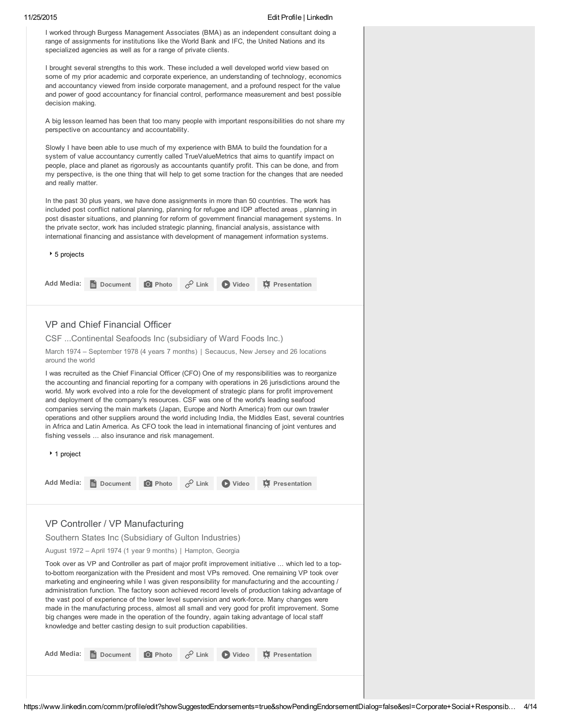I worked through Burgess Management Associates (BMA) as an independent consultant doing a range of assignments for institutions like the World Bank and IFC, the United Nations and its specialized agencies as well as for a range of private clients.

I brought several strengths to this work. These included a well developed world view based on some of my prior academic and corporate experience, an understanding of technology, economics and accountancy viewed from inside corporate management, and a profound respect for the value and power of good accountancy for financial control, performance measurement and best possible decision making.

A big lesson learned has been that too many people with important responsibilities do not share my perspective on accountancy and accountability.

Slowly I have been able to use much of my experience with BMA to build the foundation for a system of value accountancy currently called TrueValueMetrics that aims to quantify impact on people, place and planet as rigorously as accountants quantify profit. This can be done, and from my perspective, is the one thing that will help to get some traction for the changes that are needed and really matter.

In the past 30 plus years, we have done assignments in more than 50 countries. The work has included post conflict national planning, planning for refugee and IDP affected areas , planning in post disaster situations, and planning for reform of government financial management systems. In the private sector, work has included strategic planning, financial analysis, assistance with international financing and assistance with development of management information systems.

#### 5 projects

1 project

|  |  | Add Media: <b>B</b> Document <b>O</b> Photo $\phi^0$ Link <b>O</b> Video <b>C</b> Presentation |
|--|--|------------------------------------------------------------------------------------------------|
|  |  |                                                                                                |

#### VP and Chief Financial Officer

CSF ...Continental Seafoods Inc (subsidiary of Ward Foods Inc.)

March 1974 – September 1978 (4 years 7 months) | Secaucus, New Jersey and 26 locations around the world

I was recruited as the Chief Financial Officer (CFO) One of my responsibilities was to reorganize the accounting and financial reporting for a company with operations in 26 jurisdictions around the world. My work evolved into a role for the development of strategic plans for profit improvement and deployment of the company's resources. CSF was one of the world's leading seafood companies serving the main markets (Japan, Europe and North America) from our own trawler operations and other suppliers around the world including India, the Middles East, several countries in Africa and Latin America. As CFO took the lead in international financing of joint ventures and fishing vessels ... also insurance and risk management.

|  |  | Add Media: <b>Depression Comment O</b> Photo $\phi^0$ Link <b>O</b> Video <b>C</b> Presentation |
|--|--|-------------------------------------------------------------------------------------------------|

#### VP Controller / VP Manufacturing

Southern States Inc (Subsidiary of Gulton Industries)

August 1972 – April 1974 (1 year 9 months) | Hampton, Georgia

Took over as VP and Controller as part of major profit improvement initiative ... which led to a topto-bottom reorganization with the President and most VPs removed. One remaining VP took over marketing and engineering while I was given responsibility for manufacturing and the accounting / administration function. The factory soon achieved record levels of production taking advantage of the vast pool of experience of the lower level supervision and work-force. Many changes were made in the manufacturing process, almost all small and very good for profit improvement. Some big changes were made in the operation of the foundry, again taking advantage of local staff knowledge and better casting design to suit production capabilities.

|  |  |  |  |  | Add Media: <b>E</b> Document <b>O</b> Photo $\phi^0$ Link <b>O</b> Video <b>C</b> Presentation |
|--|--|--|--|--|------------------------------------------------------------------------------------------------|
|--|--|--|--|--|------------------------------------------------------------------------------------------------|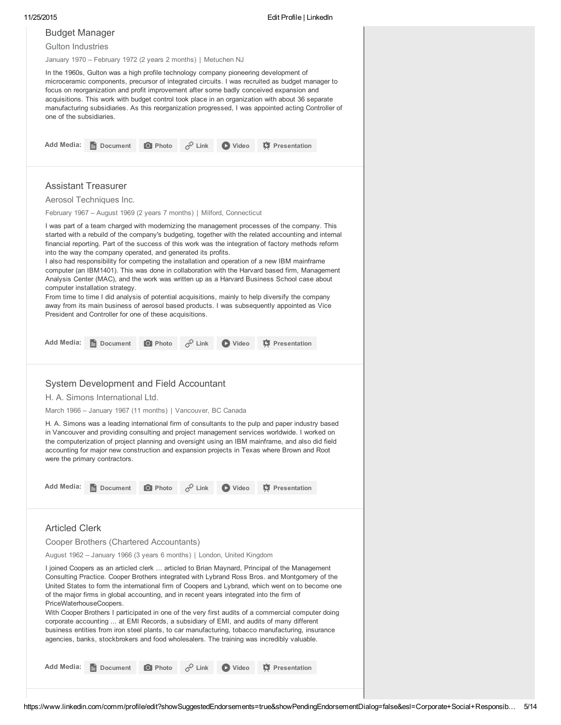| <b>Budget Manager</b>                                                                                                                                                                                                                                                                                                                                         |                                                                                                                                                                                                                                                                                                                                                                                                                                                                                                                                                                                                             |                                         |  |
|---------------------------------------------------------------------------------------------------------------------------------------------------------------------------------------------------------------------------------------------------------------------------------------------------------------------------------------------------------------|-------------------------------------------------------------------------------------------------------------------------------------------------------------------------------------------------------------------------------------------------------------------------------------------------------------------------------------------------------------------------------------------------------------------------------------------------------------------------------------------------------------------------------------------------------------------------------------------------------------|-----------------------------------------|--|
| <b>Gulton Industries</b>                                                                                                                                                                                                                                                                                                                                      |                                                                                                                                                                                                                                                                                                                                                                                                                                                                                                                                                                                                             |                                         |  |
|                                                                                                                                                                                                                                                                                                                                                               | January 1970 - February 1972 (2 years 2 months)   Metuchen NJ                                                                                                                                                                                                                                                                                                                                                                                                                                                                                                                                               |                                         |  |
| focus on reorganization and profit improvement after some badly conceived expansion and<br>acquisitions. This work with budget control took place in an organization with about 36 separate<br>manufacturing subsidiaries. As this reorganization progressed, I was appointed acting Controller of<br>one of the subsidiaries.                                | In the 1960s, Gulton was a high profile technology company pioneering development of<br>microceramic components, precursor of integrated circuits. I was recruited as budget manager to                                                                                                                                                                                                                                                                                                                                                                                                                     |                                         |  |
| <b>Add Media:</b><br>Document                                                                                                                                                                                                                                                                                                                                 | $\mathscr{P}$ Link<br><b>O</b> Photo                                                                                                                                                                                                                                                                                                                                                                                                                                                                                                                                                                        | <b>D</b> Video<br><b>C</b> Presentation |  |
| <b>Assistant Treasurer</b>                                                                                                                                                                                                                                                                                                                                    |                                                                                                                                                                                                                                                                                                                                                                                                                                                                                                                                                                                                             |                                         |  |
| Aerosol Techniques Inc.                                                                                                                                                                                                                                                                                                                                       |                                                                                                                                                                                                                                                                                                                                                                                                                                                                                                                                                                                                             |                                         |  |
|                                                                                                                                                                                                                                                                                                                                                               | February 1967 – August 1969 (2 years 7 months)   Milford, Connecticut                                                                                                                                                                                                                                                                                                                                                                                                                                                                                                                                       |                                         |  |
| into the way the company operated, and generated its profits.<br>Analysis Center (MAC), and the work was written up as a Harvard Business School case about<br>computer installation strategy.<br>From time to time I did analysis of potential acquisitions, mainly to help diversify the company<br>President and Controller for one of these acquisitions. | I was part of a team charged with modernizing the management processes of the company. This<br>started with a rebuild of the company's budgeting, together with the related accounting and internal<br>financial reporting. Part of the success of this work was the integration of factory methods reform<br>I also had responsibility for competing the installation and operation of a new IBM mainframe<br>computer (an IBM1401). This was done in collaboration with the Harvard based firm, Management<br>away from its main business of aerosol based products. I was subsequently appointed as Vice |                                         |  |
| <b>Add Media:</b><br>Document                                                                                                                                                                                                                                                                                                                                 | <b>O</b> Photo<br>$\varphi$ Link                                                                                                                                                                                                                                                                                                                                                                                                                                                                                                                                                                            | <b>D</b> Video<br><b>C</b> Presentation |  |
| System Development and Field Accountant                                                                                                                                                                                                                                                                                                                       |                                                                                                                                                                                                                                                                                                                                                                                                                                                                                                                                                                                                             |                                         |  |
|                                                                                                                                                                                                                                                                                                                                                               |                                                                                                                                                                                                                                                                                                                                                                                                                                                                                                                                                                                                             |                                         |  |
| H. A. Simons International Ltd.                                                                                                                                                                                                                                                                                                                               |                                                                                                                                                                                                                                                                                                                                                                                                                                                                                                                                                                                                             |                                         |  |
| March 1966 - January 1967 (11 months)   Vancouver, BC Canada                                                                                                                                                                                                                                                                                                  |                                                                                                                                                                                                                                                                                                                                                                                                                                                                                                                                                                                                             |                                         |  |
| accounting for major new construction and expansion projects in Texas where Brown and Root<br>were the primary contractors.                                                                                                                                                                                                                                   | H. A. Simons was a leading international firm of consultants to the pulp and paper industry based<br>in Vancouver and providing consulting and project management services worldwide. I worked on<br>the computerization of project planning and oversight using an IBM mainframe, and also did field                                                                                                                                                                                                                                                                                                       |                                         |  |
| <b>Add Media:</b><br>Document                                                                                                                                                                                                                                                                                                                                 | <b>O</b> Photo<br>$\mathscr{P}$ Link                                                                                                                                                                                                                                                                                                                                                                                                                                                                                                                                                                        | <b>T</b> Presentation<br><b>D</b> Video |  |
| <b>Articled Clerk</b>                                                                                                                                                                                                                                                                                                                                         |                                                                                                                                                                                                                                                                                                                                                                                                                                                                                                                                                                                                             |                                         |  |
| Cooper Brothers (Chartered Accountants)                                                                                                                                                                                                                                                                                                                       |                                                                                                                                                                                                                                                                                                                                                                                                                                                                                                                                                                                                             |                                         |  |
|                                                                                                                                                                                                                                                                                                                                                               | August 1962 – January 1966 (3 years 6 months)   London, United Kingdom                                                                                                                                                                                                                                                                                                                                                                                                                                                                                                                                      |                                         |  |
| PriceWaterhouseCoopers.<br>corporate accounting  at EMI Records, a subsidiary of EMI, and audits of many different<br>agencies, banks, stockbrokers and food wholesalers. The training was incredibly valuable.                                                                                                                                               | I joined Coopers as an articled clerk  articled to Brian Maynard, Principal of the Management<br>Consulting Practice. Cooper Brothers integrated with Lybrand Ross Bros. and Montgomery of the<br>United States to form the international firm of Coopers and Lybrand, which went on to become one<br>of the major firms in global accounting, and in recent years integrated into the firm of<br>With Cooper Brothers I participated in one of the very first audits of a commercial computer doing<br>business entities from iron steel plants, to car manufacturing, tobacco manufacturing, insurance    |                                         |  |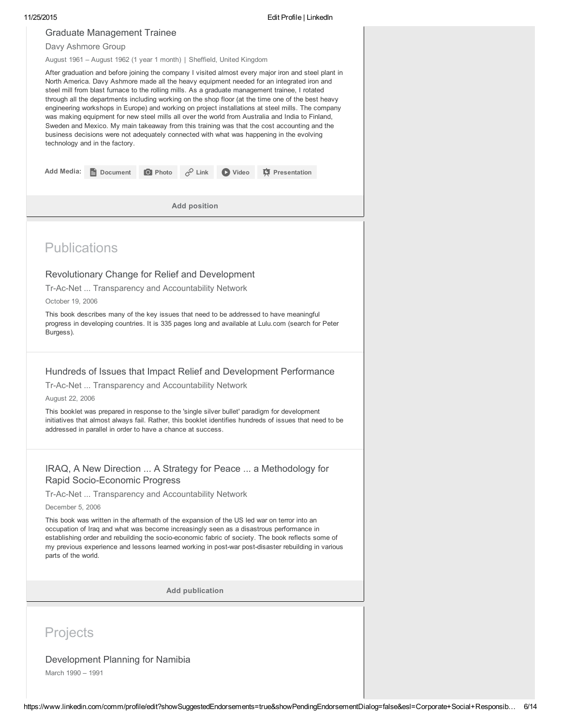| 11/25/2015 |                                                                                                                                                                                                                                                                                                                                                                                                                                                                                                                                                                                                                                                                                                                                                                                                                                                   |                                                             |                |                        |                | Edit Profile   LinkedIn                                                                                                                                                                                 |  |  |  |  |  |
|------------|---------------------------------------------------------------------------------------------------------------------------------------------------------------------------------------------------------------------------------------------------------------------------------------------------------------------------------------------------------------------------------------------------------------------------------------------------------------------------------------------------------------------------------------------------------------------------------------------------------------------------------------------------------------------------------------------------------------------------------------------------------------------------------------------------------------------------------------------------|-------------------------------------------------------------|----------------|------------------------|----------------|---------------------------------------------------------------------------------------------------------------------------------------------------------------------------------------------------------|--|--|--|--|--|
|            | <b>Graduate Management Trainee</b>                                                                                                                                                                                                                                                                                                                                                                                                                                                                                                                                                                                                                                                                                                                                                                                                                |                                                             |                |                        |                |                                                                                                                                                                                                         |  |  |  |  |  |
|            | Davy Ashmore Group                                                                                                                                                                                                                                                                                                                                                                                                                                                                                                                                                                                                                                                                                                                                                                                                                                |                                                             |                |                        |                |                                                                                                                                                                                                         |  |  |  |  |  |
|            | August 1961 - August 1962 (1 year 1 month)   Sheffield, United Kingdom                                                                                                                                                                                                                                                                                                                                                                                                                                                                                                                                                                                                                                                                                                                                                                            |                                                             |                |                        |                |                                                                                                                                                                                                         |  |  |  |  |  |
|            | After graduation and before joining the company I visited almost every major iron and steel plant in<br>North America. Davy Ashmore made all the heavy equipment needed for an integrated iron and<br>steel mill from blast furnace to the rolling mills. As a graduate management trainee, I rotated<br>through all the departments including working on the shop floor (at the time one of the best heavy<br>engineering workshops in Europe) and working on project installations at steel mills. The company<br>was making equipment for new steel mills all over the world from Australia and India to Finland,<br>Sweden and Mexico. My main takeaway from this training was that the cost accounting and the<br>business decisions were not adequately connected with what was happening in the evolving<br>technology and in the factory. |                                                             |                |                        |                |                                                                                                                                                                                                         |  |  |  |  |  |
|            | <b>Add Media:</b>                                                                                                                                                                                                                                                                                                                                                                                                                                                                                                                                                                                                                                                                                                                                                                                                                                 | <b>Document</b>                                             | <b>O</b> Photo | $\mathcal{P}$ Link     | <b>D</b> Video | <b>T</b> Presentation                                                                                                                                                                                   |  |  |  |  |  |
|            |                                                                                                                                                                                                                                                                                                                                                                                                                                                                                                                                                                                                                                                                                                                                                                                                                                                   |                                                             |                |                        |                |                                                                                                                                                                                                         |  |  |  |  |  |
|            |                                                                                                                                                                                                                                                                                                                                                                                                                                                                                                                                                                                                                                                                                                                                                                                                                                                   |                                                             |                | <b>Add position</b>    |                |                                                                                                                                                                                                         |  |  |  |  |  |
|            |                                                                                                                                                                                                                                                                                                                                                                                                                                                                                                                                                                                                                                                                                                                                                                                                                                                   |                                                             |                |                        |                |                                                                                                                                                                                                         |  |  |  |  |  |
|            | <b>Publications</b>                                                                                                                                                                                                                                                                                                                                                                                                                                                                                                                                                                                                                                                                                                                                                                                                                               |                                                             |                |                        |                |                                                                                                                                                                                                         |  |  |  |  |  |
|            |                                                                                                                                                                                                                                                                                                                                                                                                                                                                                                                                                                                                                                                                                                                                                                                                                                                   | Revolutionary Change for Relief and Development             |                |                        |                |                                                                                                                                                                                                         |  |  |  |  |  |
|            |                                                                                                                                                                                                                                                                                                                                                                                                                                                                                                                                                                                                                                                                                                                                                                                                                                                   | Tr-Ac-Net  Transparency and Accountability Network          |                |                        |                |                                                                                                                                                                                                         |  |  |  |  |  |
|            | October 19, 2006                                                                                                                                                                                                                                                                                                                                                                                                                                                                                                                                                                                                                                                                                                                                                                                                                                  |                                                             |                |                        |                |                                                                                                                                                                                                         |  |  |  |  |  |
|            | Burgess).                                                                                                                                                                                                                                                                                                                                                                                                                                                                                                                                                                                                                                                                                                                                                                                                                                         |                                                             |                |                        |                | This book describes many of the key issues that need to be addressed to have meaningful<br>progress in developing countries. It is 335 pages long and available at Lulu.com (search for Peter           |  |  |  |  |  |
|            |                                                                                                                                                                                                                                                                                                                                                                                                                                                                                                                                                                                                                                                                                                                                                                                                                                                   |                                                             |                |                        |                |                                                                                                                                                                                                         |  |  |  |  |  |
|            |                                                                                                                                                                                                                                                                                                                                                                                                                                                                                                                                                                                                                                                                                                                                                                                                                                                   |                                                             |                |                        |                | Hundreds of Issues that Impact Relief and Development Performance                                                                                                                                       |  |  |  |  |  |
|            |                                                                                                                                                                                                                                                                                                                                                                                                                                                                                                                                                                                                                                                                                                                                                                                                                                                   | Tr-Ac-Net  Transparency and Accountability Network          |                |                        |                |                                                                                                                                                                                                         |  |  |  |  |  |
|            | August 22, 2006                                                                                                                                                                                                                                                                                                                                                                                                                                                                                                                                                                                                                                                                                                                                                                                                                                   |                                                             |                |                        |                |                                                                                                                                                                                                         |  |  |  |  |  |
|            |                                                                                                                                                                                                                                                                                                                                                                                                                                                                                                                                                                                                                                                                                                                                                                                                                                                   | addressed in parallel in order to have a chance at success. |                |                        |                | This booklet was prepared in response to the 'single silver bullet' paradigm for development<br>initiatives that almost always fail. Rather, this booklet identifies hundreds of issues that need to be |  |  |  |  |  |
|            |                                                                                                                                                                                                                                                                                                                                                                                                                                                                                                                                                                                                                                                                                                                                                                                                                                                   |                                                             |                |                        |                | IRAQ, A New Direction  A Strategy for Peace  a Methodology for                                                                                                                                          |  |  |  |  |  |
|            |                                                                                                                                                                                                                                                                                                                                                                                                                                                                                                                                                                                                                                                                                                                                                                                                                                                   |                                                             |                |                        |                |                                                                                                                                                                                                         |  |  |  |  |  |
|            |                                                                                                                                                                                                                                                                                                                                                                                                                                                                                                                                                                                                                                                                                                                                                                                                                                                   |                                                             |                |                        |                |                                                                                                                                                                                                         |  |  |  |  |  |
|            |                                                                                                                                                                                                                                                                                                                                                                                                                                                                                                                                                                                                                                                                                                                                                                                                                                                   |                                                             |                |                        |                |                                                                                                                                                                                                         |  |  |  |  |  |
|            | Rapid Socio-Economic Progress<br>Tr-Ac-Net  Transparency and Accountability Network<br>December 5, 2006<br>This book was written in the aftermath of the expansion of the US led war on terror into an<br>occupation of Iraq and what was become increasingly seen as a disastrous performance in<br>establishing order and rebuilding the socio-economic fabric of society. The book reflects some of                                                                                                                                                                                                                                                                                                                                                                                                                                            |                                                             |                |                        |                |                                                                                                                                                                                                         |  |  |  |  |  |
|            | parts of the world.                                                                                                                                                                                                                                                                                                                                                                                                                                                                                                                                                                                                                                                                                                                                                                                                                               |                                                             |                |                        |                | my previous experience and lessons learned working in post-war post-disaster rebuilding in various                                                                                                      |  |  |  |  |  |
|            |                                                                                                                                                                                                                                                                                                                                                                                                                                                                                                                                                                                                                                                                                                                                                                                                                                                   |                                                             |                | <b>Add publication</b> |                |                                                                                                                                                                                                         |  |  |  |  |  |

# Projects

### Development Planning for Namibia

March 1990 – 1991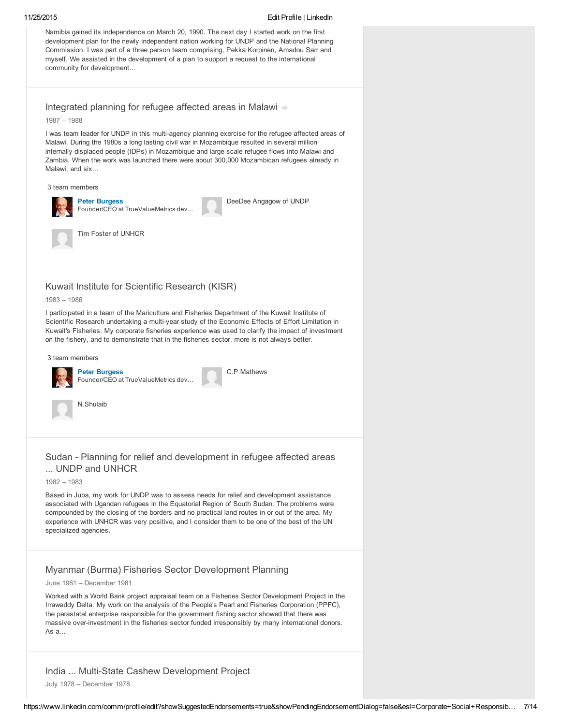#### 11/25/2015 Edit Profile | LinkedIn

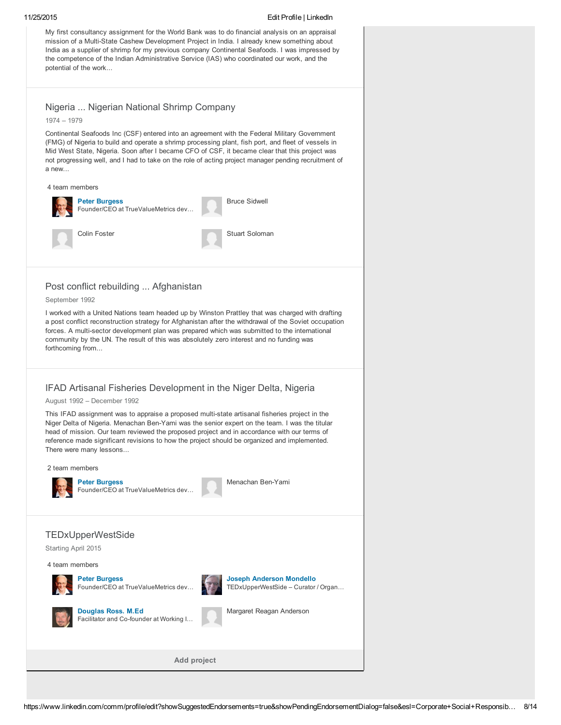My first consultancy assignment for the World Bank was to do financial analysis on an appraisal mission of a Multi-State Cashew Development Project in India. I already knew something about India as a supplier of shrimp for my previous company Continental Seafoods. I was impressed by the competence of the Indian Administrative Service (IAS) who coordinated our work, and the potential of the work...

#### Nigeria ... Nigerian National Shrimp Company

1974 – 1979

Continental Seafoods Inc (CSF) entered into an agreement with the Federal Military Government (FMG) of Nigeria to build and operate a shrimp processing plant, fish port, and fleet of vessels in Mid West State, Nigeria. Soon after I became CFO of CSF, it became clear that this project was not progressing well, and I had to take on the role of acting project manager pending recruitment of a new...



#### Post conflict rebuilding ... Afghanistan

September 1992

I worked with a United Nations team headed up by Winston Prattley that was charged with drafting a post conflict reconstruction strategy for Afghanistan after the withdrawal of the Soviet occupation forces. A multi-sector development plan was prepared which was submitted to the international community by the UN. The result of this was absolutely zero interest and no funding was forthcoming from...

### IFAD Artisanal Fisheries Development in the Niger Delta, Nigeria

August 1992 – December 1992

This IFAD assignment was to appraise a proposed multi-state artisanal fisheries project in the Niger Delta of Nigeria. Menachan Ben-Yami was the senior expert on the team. I was the titular head of mission. Our team reviewed the proposed project and in accordance with our terms of reference made significant revisions to how the project should be organized and implemented. There were many lessons...

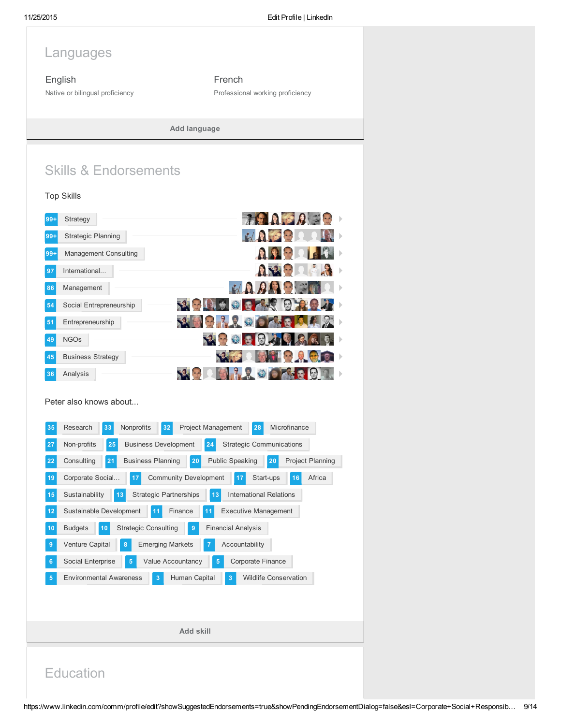Languages

English Native or bilingual proficiency

French Professional working proficiency

> **AND PA MAPPIL**

Add language

# Skills & Endorsements



| $99+$ | <b>Management Consulting</b> |                                                                     |
|-------|------------------------------|---------------------------------------------------------------------|
| 97    | International                |                                                                     |
| 86    | Management                   | $\left  \cdot \right $ $\rightarrow$                                |
| 54    | Social Entrepreneurship      | <b>REBY</b><br>10<br><b>SP</b>                                      |
| 51    | Entrepreneurship             | 32<br>O O O O O O                                                   |
| 49    | <b>NGOs</b>                  | <b>CACCC</b><br>$\bigcirc$<br>$\mathbf{Q}$                          |
| 45    | <b>Business Strategy</b>     |                                                                     |
| 36    | Analysis                     | $\left  \frac{\partial \mathcal{L}}{\partial \mathbf{r}^2} \right $ |

Peter also knows about...

| 35 | Research<br>Nonprofits<br>Microfinance<br>33<br>28<br>32<br><b>Project Management</b>                         |
|----|---------------------------------------------------------------------------------------------------------------|
| 27 | Non-profits<br><b>Business Development</b><br><b>Strategic Communications</b><br>25<br>24                     |
| 22 | <b>Project Planning</b><br>Consulting<br>21<br><b>Business Planning</b><br><b>Public Speaking</b><br>20<br>20 |
| 19 | <b>Community Development</b><br>Africa<br>Corporate Social<br>17<br>Start-ups<br>17<br>16                     |
| 15 | Sustainability<br><b>Strategic Partnerships</b><br>13<br><b>International Relations</b><br>13                 |
| 12 | Sustainable Development<br>Finance<br><b>Executive Management</b><br>11<br>11                                 |
| 10 | <b>Budgets</b><br><b>Strategic Consulting</b><br><b>Financial Analysis</b><br>10<br>9                         |
| 9  | Venture Capital<br><b>Emerging Markets</b><br>Accountability<br>8<br>7                                        |
| 6  | Corporate Finance<br>Social Enterprise<br>Value Accountancy<br>5<br>5                                         |
| 5  | <b>Environmental Awareness</b><br><b>Wildlife Conservation</b><br>Human Capital<br>3<br>3                     |
|    |                                                                                                               |
|    |                                                                                                               |
|    | Add skill                                                                                                     |
|    |                                                                                                               |

# **Education**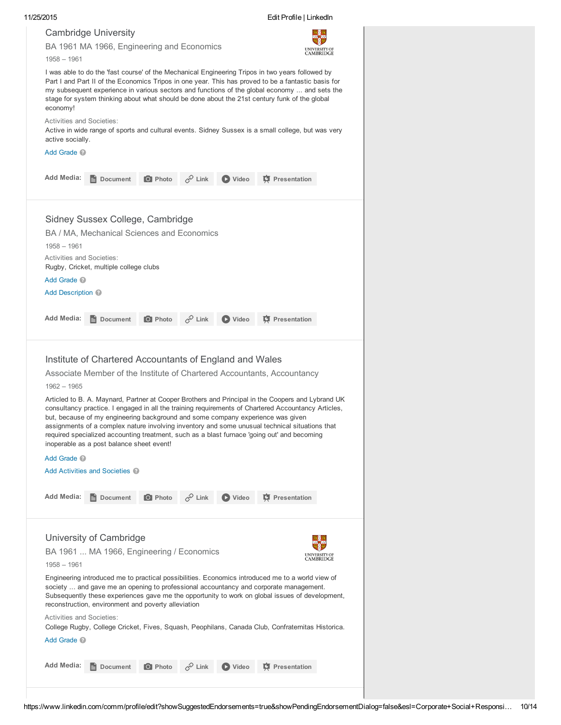|                                                                             |                                                                                                                                        |                |                    |                | Edit Profile   LinkedIn                                                                                                                                                                                                                                                                                                                                                                                                                                                                                                                                                 |                                          |
|-----------------------------------------------------------------------------|----------------------------------------------------------------------------------------------------------------------------------------|----------------|--------------------|----------------|-------------------------------------------------------------------------------------------------------------------------------------------------------------------------------------------------------------------------------------------------------------------------------------------------------------------------------------------------------------------------------------------------------------------------------------------------------------------------------------------------------------------------------------------------------------------------|------------------------------------------|
|                                                                             | <b>Cambridge University</b>                                                                                                            |                |                    |                |                                                                                                                                                                                                                                                                                                                                                                                                                                                                                                                                                                         |                                          |
|                                                                             | BA 1961 MA 1966, Engineering and Economics                                                                                             |                |                    |                |                                                                                                                                                                                                                                                                                                                                                                                                                                                                                                                                                                         | UNIVERSITY OF                            |
| $1958 - 1961$                                                               |                                                                                                                                        |                |                    |                |                                                                                                                                                                                                                                                                                                                                                                                                                                                                                                                                                                         | CAMBRIDGE                                |
| economy!                                                                    |                                                                                                                                        |                |                    |                | I was able to do the 'fast course' of the Mechanical Engineering Tripos in two years followed by<br>Part I and Part II of the Economics Tripos in one year. This has proved to be a fantastic basis for<br>my subsequent experience in various sectors and functions of the global economy  and sets the<br>stage for system thinking about what should be done about the 21st century funk of the global                                                                                                                                                               |                                          |
| <b>Activities and Societies:</b><br>active socially.                        |                                                                                                                                        |                |                    |                | Active in wide range of sports and cultural events. Sidney Sussex is a small college, but was very                                                                                                                                                                                                                                                                                                                                                                                                                                                                      |                                          |
| Add Grade <sup>2</sup>                                                      |                                                                                                                                        |                |                    |                |                                                                                                                                                                                                                                                                                                                                                                                                                                                                                                                                                                         |                                          |
| <b>Add Media:</b>                                                           | Document                                                                                                                               | O Photo        | $\mathscr{O}$ Link | D Video        | <b>C</b> Presentation                                                                                                                                                                                                                                                                                                                                                                                                                                                                                                                                                   |                                          |
| $1958 - 1961$<br><b>Activities and Societies:</b><br>Add Grade <sup>1</sup> | Sidney Sussex College, Cambridge<br>BA / MA, Mechanical Sciences and Economics<br>Rugby, Cricket, multiple college clubs               |                |                    |                |                                                                                                                                                                                                                                                                                                                                                                                                                                                                                                                                                                         |                                          |
| Add Description @                                                           |                                                                                                                                        |                |                    |                |                                                                                                                                                                                                                                                                                                                                                                                                                                                                                                                                                                         |                                          |
| <b>Add Media:</b>                                                           |                                                                                                                                        |                | $\mathcal{C}$ Link |                |                                                                                                                                                                                                                                                                                                                                                                                                                                                                                                                                                                         |                                          |
|                                                                             | Document                                                                                                                               | <b>O</b> Photo |                    | D Video        | <b>D</b> Presentation                                                                                                                                                                                                                                                                                                                                                                                                                                                                                                                                                   |                                          |
| $1962 - 1965$<br>Add Grade <sup>2</sup>                                     | Institute of Chartered Accountants of England and Wales<br>inoperable as a post balance sheet event!<br>Add Activities and Societies 2 |                |                    |                | Associate Member of the Institute of Chartered Accountants, Accountancy<br>Articled to B. A. Maynard, Partner at Cooper Brothers and Principal in the Coopers and Lybrand UK<br>consultancy practice. I engaged in all the training requirements of Chartered Accountancy Articles,<br>but, because of my engineering background and some company experience was given<br>assignments of a complex nature involving inventory and some unusual technical situations that<br>required specialized accounting treatment, such as a blast furnace 'going out' and becoming |                                          |
| Add Media:                                                                  | Document                                                                                                                               | <b>O</b> Photo | $\mathscr{P}$ Link | <b>D</b> Video | <b>D</b> Presentation                                                                                                                                                                                                                                                                                                                                                                                                                                                                                                                                                   |                                          |
|                                                                             |                                                                                                                                        |                |                    |                |                                                                                                                                                                                                                                                                                                                                                                                                                                                                                                                                                                         |                                          |
| 1958 - 1961                                                                 | University of Cambridge<br>BA 1961  MA 1966, Engineering / Economics                                                                   |                |                    |                | Engineering introduced me to practical possibilities. Economics introduced me to a world view of                                                                                                                                                                                                                                                                                                                                                                                                                                                                        | <b>UNIVERSITY OF</b><br><b>CAMBRIDGE</b> |
|                                                                             | reconstruction, environment and poverty alleviation                                                                                    |                |                    |                | society  and gave me an opening to professional accountancy and corporate management.<br>Subsequently these experiences gave me the opportunity to work on global issues of development,                                                                                                                                                                                                                                                                                                                                                                                |                                          |
| Activities and Societies:                                                   |                                                                                                                                        |                |                    |                | College Rugby, College Cricket, Fives, Squash, Peophilans, Canada Club, Confraternitas Historica.                                                                                                                                                                                                                                                                                                                                                                                                                                                                       |                                          |
| Add Grade <sup>1</sup>                                                      |                                                                                                                                        |                |                    |                |                                                                                                                                                                                                                                                                                                                                                                                                                                                                                                                                                                         |                                          |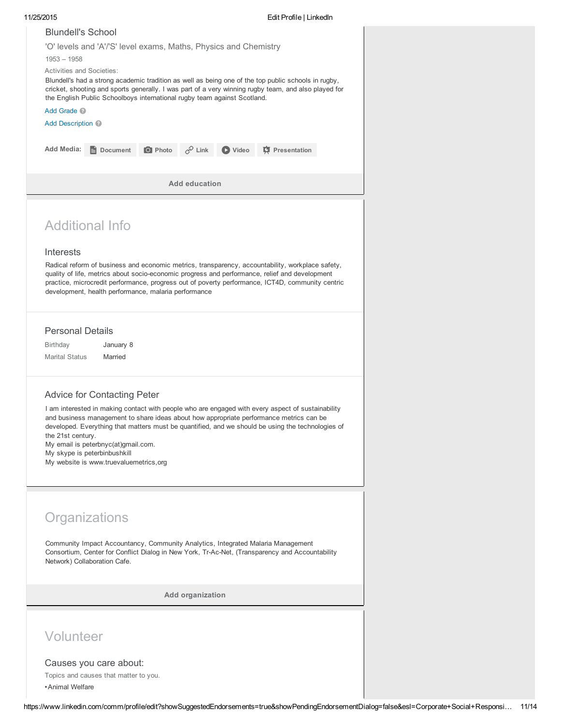| $1953 - 1958$<br><b>Add Media:</b>                                  | <b>Blundell's School</b><br>'O' levels and 'A'/'S' level exams, Maths, Physics and Chemistry<br>Activities and Societies:<br>Blundell's had a strong academic tradition as well as being one of the top public schools in rugby,<br>cricket, shooting and sports generally. I was part of a very winning rugby team, and also played for<br>the English Public Schoolboys international rugby team against Scotland.<br>Add Grade <sup>2</sup><br>Add Description @ |                |                      |         |                                                                                                                                                                                                                                                                                                        |  |  |  |
|---------------------------------------------------------------------|---------------------------------------------------------------------------------------------------------------------------------------------------------------------------------------------------------------------------------------------------------------------------------------------------------------------------------------------------------------------------------------------------------------------------------------------------------------------|----------------|----------------------|---------|--------------------------------------------------------------------------------------------------------------------------------------------------------------------------------------------------------------------------------------------------------------------------------------------------------|--|--|--|
|                                                                     | Document                                                                                                                                                                                                                                                                                                                                                                                                                                                            | <b>O</b> Photo | $c^{\circ}$ Link     | D Video | <b>C</b> Presentation                                                                                                                                                                                                                                                                                  |  |  |  |
|                                                                     |                                                                                                                                                                                                                                                                                                                                                                                                                                                                     |                | <b>Add education</b> |         |                                                                                                                                                                                                                                                                                                        |  |  |  |
| Interests                                                           | <b>Additional Info</b><br>development, health performance, malaria performance                                                                                                                                                                                                                                                                                                                                                                                      |                |                      |         | Radical reform of business and economic metrics, transparency, accountability, workplace safety,<br>quality of life, metrics about socio-economic progress and performance, relief and development<br>practice, microcredit performance, progress out of poverty performance, ICT4D, community centric |  |  |  |
| <b>Personal Details</b><br><b>Birthday</b><br><b>Marital Status</b> | January 8<br>Married                                                                                                                                                                                                                                                                                                                                                                                                                                                |                |                      |         |                                                                                                                                                                                                                                                                                                        |  |  |  |
| the 21st century.                                                   | <b>Advice for Contacting Peter</b><br>My email is peterbnyc(at)gmail.com.<br>My skype is peterbinbushkill<br>My website is www.truevaluemetrics, org                                                                                                                                                                                                                                                                                                                |                |                      |         | I am interested in making contact with people who are engaged with every aspect of sustainability<br>and business management to share ideas about how appropriate performance metrics can be<br>developed. Everything that matters must be quantified, and we should be using the technologies of      |  |  |  |
|                                                                     | Organizations<br>Community Impact Accountancy, Community Analytics, Integrated Malaria Management<br>Consortium, Center for Conflict Dialog in New York, Tr-Ac-Net, (Transparency and Accountability<br>Network) Collaboration Cafe.                                                                                                                                                                                                                                |                |                      |         |                                                                                                                                                                                                                                                                                                        |  |  |  |
|                                                                     |                                                                                                                                                                                                                                                                                                                                                                                                                                                                     |                | Add organization     |         |                                                                                                                                                                                                                                                                                                        |  |  |  |
| Volunteer<br>• Animal Welfare                                       | Causes you care about:<br>Topics and causes that matter to you.                                                                                                                                                                                                                                                                                                                                                                                                     |                |                      |         |                                                                                                                                                                                                                                                                                                        |  |  |  |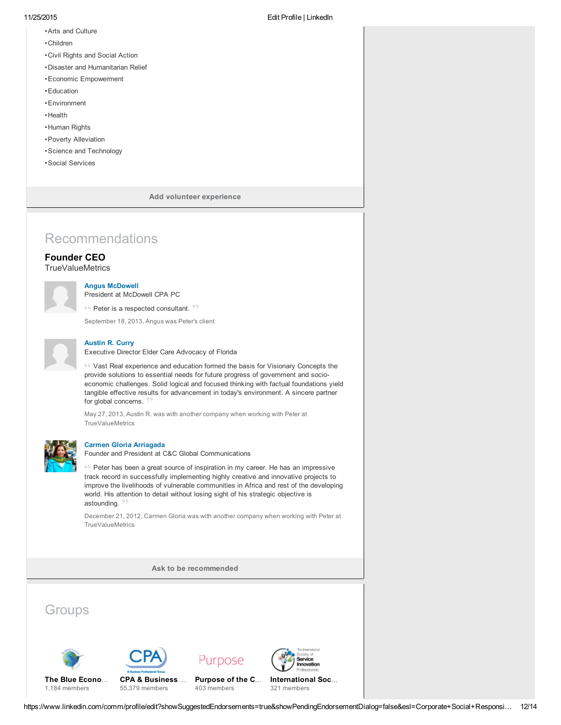- •Arts and Culture
- •Children
- •Civil Rights and Social Action
- •Disaster and Humanitarian Relief
- •Economic Empowerment
- •Education
- •Environment
- •Health
- •Human Rights
- •Poverty Alleviation
- •Science and Technology
- •Social Services

Add volunteer experience

# Recommendations

### Founder CEO

**TrueValueMetrics** 

#### Angus [McDowell](https://www.linkedin.com/profile/view?id=AAEAAAW50C0Bbnev8XhviMKwvygC27o5b6heZ8g&authType=name&authToken=KtuO)

President at McDowell CPA PC

 $66$  Peter is a respected consultant.  $22$ 

September 18, 2013, Angus was Peter's client



### [Austin](https://www.linkedin.com/profile/view?id=AAEAAAG5UccBB7Anza6uq7RiYJIHejDMhxlWv-Y&authType=name&authToken=ApXn) R. Curry

Executive Director Elder Care Advocacy of Florida

Vast Real experience and education formed the basis for Visionary Concepts the provide solutions to essential needs for future progress of government and socioeconomic challenges. Solid logical and focused thinking with factual foundations yield tangible effective results for advancement in today's environment. A sincere partner for global concerns. 99.

May 27, 2013, Austin R. was with another company when working with Peter at **TrueValueMetrics** 



#### Carmen Gloria [Arriagada](https://www.linkedin.com/profile/view?id=AAEAAArbv0gBZmND2epWzZmRdibFP_w4GSKXD34&authType=name&authToken=RZKQ)

Founder and President at C&C Global Communications

<sup>66</sup> Peter has been a great source of inspiration in my career. He has an impressive track record in successfully implementing highly creative and innovative projects to improve the livelihoods of vulnerable communities in Africa and rest of the developing world. His attention to detail without losing sight of his strategic objective is astounding. 99.

December 21, 2012, Carmen Gloria was with another company when working with Peter at **TrueValueMetrics** 

Ask to be [recommended](https://www.linkedin.com/recs/ask?trk=prof-edit-ask-for-recommendations)

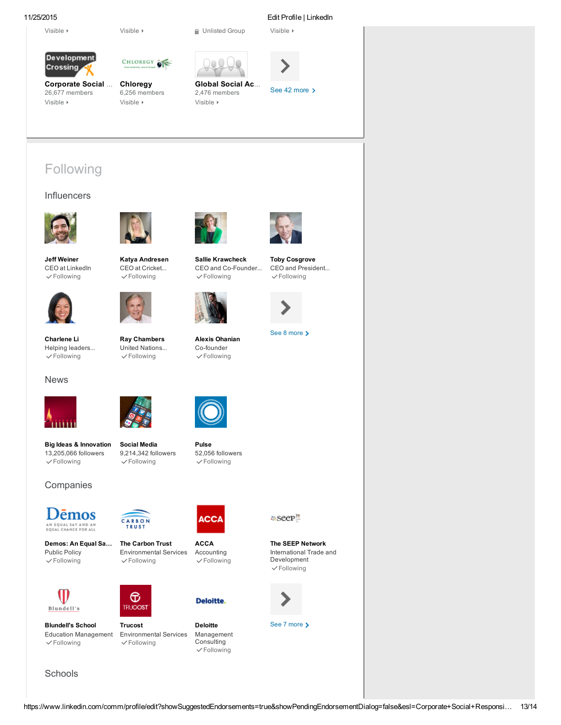[Visible](https://www.linkedin.com/groups?displaySettings=&gid=82951&csrfToken=ajax%3A5022747112427740149&goback=%2Enpe_*1_*1_*1_*1_*1_*1_*1_true_false_*1_*1_Corporate+Social+Responsibility%2C+Finance%2C+Management%2C+Strategic+Planning%2C+Sustainability_f_*1_*1_*1_*1&trk=prof-groups-membership-change_visibility-link)

11/25/2015 Edit Profile | LinkedIn





CHLOREGY OF

[Corporate](https://www.linkedin.com/groups?gid=82951&goback=%2Enpe_*1_*1_*1_*1_*1_*1_*1_true_false_*1_*1_Corporate+Social+Responsibility%2C+Finance%2C+Management%2C+Strategic+Planning%2C+Sustainability_f_*1_*1_*1_*1&trk=prof-groups-membership-name) Social … 26,677 members [Chloregy](https://www.linkedin.com/groups?gid=1787164&goback=%2Enpe_*1_*1_*1_*1_*1_*1_*1_true_false_*1_*1_Corporate+Social+Responsibility%2C+Finance%2C+Management%2C+Strategic+Planning%2C+Sustainability_f_*1_*1_*1_*1&trk=prof-groups-membership-name) 6,256 members [Visible](https://www.linkedin.com/groups?displaySettings=&gid=1787164&csrfToken=ajax%3A5022747112427740149&goback=%2Enpe_*1_*1_*1_*1_*1_*1_*1_true_false_*1_*1_Corporate+Social+Responsibility%2C+Finance%2C+Management%2C+Strategic+Planning%2C+Sustainability_f_*1_*1_*1_*1&trk=prof-groups-membership-change_visibility-link)







# Following

#### **Influencers**





Jeff [Weiner](https://www.linkedin.com/profile/view?id=AAEAAAFUu6sB_f5-oq_0EiRHYvrAWc8gI-PT2Dk&authType=name&authToken=XTo9&ref=CONTENT&trk=inf-nm) CEO at LinkedIn [Following](https://www.linkedin.com/ngroups/ajax/unfollow_member?followee=22330283&csrfToken=ajax%3A5022747112427740149&goback=%2Enpe_*1_*1_*1_*1_*1_*1_*1_true_false_*1_*1_Corporate+Social+Responsibility%2C+Finance%2C+Management%2C+Strategic+Planning%2C+Sustainability_f_*1_*1_*1_*1&trk=inf-ufa)



 $\checkmark$ [Following](https://www.linkedin.com/ngroups/ajax/unfollow_member?followee=33767&csrfToken=ajax%3A5022747112427740149&goback=%2Enpe_*1_*1_*1_*1_*1_*1_*1_true_false_*1_*1_Corporate+Social+Responsibility%2C+Finance%2C+Management%2C+Strategic+Planning%2C+Sustainability_f_*1_*1_*1_*1&trk=inf-ufa)

[Charlene](https://www.linkedin.com/profile/view?id=AAEAAAAAg-cBiGptbFh316qUspzLCuA1Lta5Om8&authType=name&authToken=6qlG&ref=CONTENT&trk=inf-nm) Li Helping leaders...

News



Katya [Andresen](https://www.linkedin.com/profile/view?id=AAEAAABemvkB17H8wAxgGP7sELxGvrrJmBSkmyI&authType=name&authToken=vGSF&ref=CONTENT&trk=inf-nm) CEO at Cricket...  $\checkmark$ [Following](https://www.linkedin.com/ngroups/ajax/unfollow_member?followee=6200057&csrfToken=ajax%3A5022747112427740149&goback=%2Enpe_*1_*1_*1_*1_*1_*1_*1_true_false_*1_*1_Corporate+Social+Responsibility%2C+Finance%2C+Management%2C+Strategic+Planning%2C+Sustainability_f_*1_*1_*1_*1&trk=inf-ufa)



Ray [Chambers](https://www.linkedin.com/profile/view?id=AAEAAAxTI8wBmjM9MM-BIAax8nr8UpaplQevHOc&authType=name&authToken=ulCS&ref=CONTENT&trk=inf-nm) United Nations...  $\checkmark$ [Following](https://www.linkedin.com/ngroups/ajax/unfollow_member?followee=206775244&csrfToken=ajax%3A5022747112427740149&goback=%2Enpe_*1_*1_*1_*1_*1_*1_*1_true_false_*1_*1_Corporate+Social+Responsibility%2C+Finance%2C+Management%2C+Strategic+Planning%2C+Sustainability_f_*1_*1_*1_*1&trk=inf-ufa)



Sallie [Krawcheck](https://www.linkedin.com/profile/view?id=AAEAAApgNwUB11XOlZbIB46aBZ6Jq9ZmQhjjjXU&authType=name&authToken=DQWw&ref=CONTENT&trk=inf-nm) CEO and Co-Founder...  $\checkmark$ [Following](https://www.linkedin.com/ngroups/ajax/unfollow_member?followee=174077701&csrfToken=ajax%3A5022747112427740149&goback=%2Enpe_*1_*1_*1_*1_*1_*1_*1_true_false_*1_*1_Corporate+Social+Responsibility%2C+Finance%2C+Management%2C+Strategic+Planning%2C+Sustainability_f_*1_*1_*1_*1&trk=inf-ufa)



Alexis [Ohanian](https://www.linkedin.com/profile/view?id=AAEAAABDdmkB9KBWL8to1JVCiRQ1CIRa3YZbo40&authType=name&authToken=CVMe&ref=CONTENT&trk=inf-nm) Co-founder [Following](https://www.linkedin.com/ngroups/ajax/unfollow_member?followee=4421225&csrfToken=ajax%3A5022747112427740149&goback=%2Enpe_*1_*1_*1_*1_*1_*1_*1_true_false_*1_*1_Corporate+Social+Responsibility%2C+Finance%2C+Management%2C+Strategic+Planning%2C+Sustainability_f_*1_*1_*1_*1&trk=inf-ufa)



Toby [Cosgrove](https://www.linkedin.com/profile/view?id=AAEAAAw9uvgBMzZgLpcVmuEcIQtJ02Nhq_wIFu8&authType=name&authToken=rd58&ref=CONTENT&trk=inf-nm) CEO and President...  $\checkmark$ [Following](https://www.linkedin.com/ngroups/ajax/unfollow_member?followee=205372152&csrfToken=ajax%3A5022747112427740149&goback=%2Enpe_*1_*1_*1_*1_*1_*1_*1_true_false_*1_*1_Corporate+Social+Responsibility%2C+Finance%2C+Management%2C+Strategic+Planning%2C+Sustainability_f_*1_*1_*1_*1&trk=inf-ufa)



See 8 more >



[Social](https://www.linkedin.com/channels/social_media?trk=prof-following-chan-icon) Media 9,214,342 followers  $\checkmark$ [Following](https://www.linkedin.com/channels/api/follows/channels/202/delete?csrfToken=ajax%3A5022747112427740149&goback=%2Enpe_*1_*1_*1_*1_*1_*1_*1_true_false_*1_*1_Corporate+Social+Responsibility%2C+Finance%2C+Management%2C+Strategic+Planning%2C+Sustainability_f_*1_*1_*1_*1&trk=profile-edit-following-chan-unfollow-submit)

### **Companies**

Big Ideas & [Innovation](https://www.linkedin.com/channels/big_ideas_and_innovation?trk=prof-following-chan-icon) 13,205,066 followers  $\checkmark$ [Following](https://www.linkedin.com/channels/api/follows/channels/211/delete?csrfToken=ajax%3A5022747112427740149&goback=%2Enpe_*1_*1_*1_*1_*1_*1_*1_true_false_*1_*1_Corporate+Social+Responsibility%2C+Finance%2C+Management%2C+Strategic+Planning%2C+Sustainability_f_*1_*1_*1_*1&trk=profile-edit-following-chan-unfollow-submit)



Demos: An Equal Sa… Public Policy  $\checkmark$ [Following](https://www.linkedin.com/company/follow/submit?id=731769&csrfToken=ajax%3A5022747112427740149&goback=%2Enpe_*1_*1_*1_*1_*1_*1_*1_true_false_*1_*1_Corporate+Social+Responsibility%2C+Finance%2C+Management%2C+Strategic+Planning%2C+Sustainability_f_*1_*1_*1_*1&fl=stop&trk=profile-edit-following-companies-unfollow-submit)



Blundell's

Education Management  $\checkmark$ [Following](https://www.linkedin.com/company/follow/submit?id=3543565&csrfToken=ajax%3A5022747112427740149&goback=%2Enpe_*1_*1_*1_*1_*1_*1_*1_true_false_*1_*1_Corporate+Social+Responsibility%2C+Finance%2C+Management%2C+Strategic+Planning%2C+Sustainability_f_*1_*1_*1_*1&fl=stop&trk=profile-edit-following-companies-unfollow-submit)



⊕

The Carbon Trust Environmental Services  $\checkmark$ [Following](https://www.linkedin.com/company/follow/submit?id=21509&csrfToken=ajax%3A5022747112427740149&goback=%2Enpe_*1_*1_*1_*1_*1_*1_*1_true_false_*1_*1_Corporate+Social+Responsibility%2C+Finance%2C+Management%2C+Strategic+Planning%2C+Sustainability_f_*1_*1_*1_*1&fl=stop&trk=profile-edit-following-companies-unfollow-submit)



Blundell's School Trucost

Environmental Services [Following](https://www.linkedin.com/company/follow/submit?id=78067&csrfToken=ajax%3A5022747112427740149&goback=%2Enpe_*1_*1_*1_*1_*1_*1_*1_true_false_*1_*1_Corporate+Social+Responsibility%2C+Finance%2C+Management%2C+Strategic+Planning%2C+Sustainability_f_*1_*1_*1_*1&fl=stop&trk=profile-edit-following-companies-unfollow-submit)



[Pulse](https://www.linkedin.com/channels/pulse?trk=prof-following-chan-icon) 52,056 followers [Following](https://www.linkedin.com/channels/api/follows/channels/6036913024072171520/delete?csrfToken=ajax%3A5022747112427740149&goback=%2Enpe_*1_*1_*1_*1_*1_*1_*1_true_false_*1_*1_Corporate+Social+Responsibility%2C+Finance%2C+Management%2C+Strategic+Planning%2C+Sustainability_f_*1_*1_*1_*1&trk=profile-edit-following-chan-unfollow-submit)

**ACCA** Accounting  $\checkmark$ [Following](https://www.linkedin.com/company/follow/submit?id=162244&csrfToken=ajax%3A5022747112427740149&goback=%2Enpe_*1_*1_*1_*1_*1_*1_*1_true_false_*1_*1_Corporate+Social+Responsibility%2C+Finance%2C+Management%2C+Strategic+Planning%2C+Sustainability_f_*1_*1_*1_*1&fl=stop&trk=profile-edit-following-companies-unfollow-submit)



Deloitte Management Consulting  $\checkmark$ [Following](https://www.linkedin.com/company/follow/submit?id=1038&csrfToken=ajax%3A5022747112427740149&goback=%2Enpe_*1_*1_*1_*1_*1_*1_*1_true_false_*1_*1_Corporate+Social+Responsibility%2C+Finance%2C+Management%2C+Strategic+Planning%2C+Sustainability_f_*1_*1_*1_*1&fl=stop&trk=profile-edit-following-companies-unfollow-submit)

la Seep™

The SEEP Network International Trade and Development  $\checkmark$ [Following](https://www.linkedin.com/company/follow/submit?id=430317&csrfToken=ajax%3A5022747112427740149&goback=%2Enpe_*1_*1_*1_*1_*1_*1_*1_true_false_*1_*1_Corporate+Social+Responsibility%2C+Finance%2C+Management%2C+Strategic+Planning%2C+Sustainability_f_*1_*1_*1_*1&fl=stop&trk=profile-edit-following-companies-unfollow-submit)



See 7 more >

**Schools**